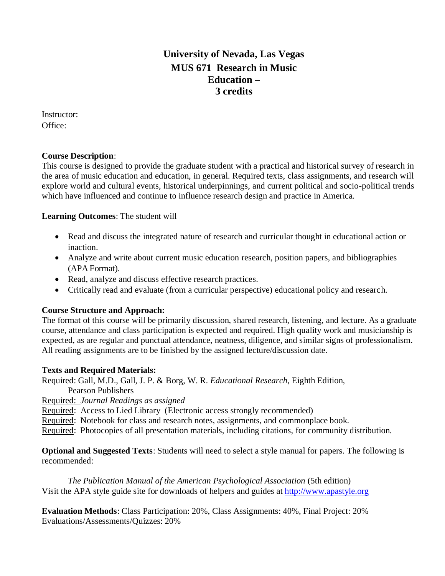# **University of Nevada, Las Vegas MUS 671 Research in Music Education – 3 credits**

Instructor: Office:

#### **Course Description**:

This course is designed to provide the graduate student with a practical and historical survey of research in the area of music education and education, in general. Required texts, class assignments, and research will explore world and cultural events, historical underpinnings, and current political and socio-political trends which have influenced and continue to influence research design and practice in America.

#### **Learning Outcomes**: The student will

- Read and discuss the integrated nature of research and curricular thought in educational action or inaction.
- Analyze and write about current music education research, position papers, and bibliographies (APA Format).
- Read, analyze and discuss effective research practices.
- Critically read and evaluate (from a curricular perspective) educational policy and research.

### **Course Structure and Approach:**

The format of this course will be primarily discussion, shared research, listening, and lecture. As a graduate course, attendance and class participation is expected and required. High quality work and musicianship is expected, as are regular and punctual attendance, neatness, diligence, and similar signs of professionalism. All reading assignments are to be finished by the assigned lecture/discussion date.

#### **Texts and Required Materials:**

Required: Gall, M.D., Gall, J. P. & Borg, W. R. *Educational Research*, Eighth Edition,

- Pearson Publishers
- Required: *Journal Readings as assigned*

Required: Access to Lied Library (Electronic access strongly recommended)

Required: Notebook for class and research notes, assignments, and commonplace book.

Required: Photocopies of all presentation materials, including citations, for community distribution.

**Optional and Suggested Texts**: Students will need to select a style manual for papers. The following is recommended:

*The Publication Manual of the American Psychological Association* (5th edition) Visit the APA style guide site for downloads of helpers and guides at [http://www.apastyle.org](http://www.apastyle.org/)

**Evaluation Methods**: Class Participation: 20%, Class Assignments: 40%, Final Project: 20% Evaluations/Assessments/Quizzes: 20%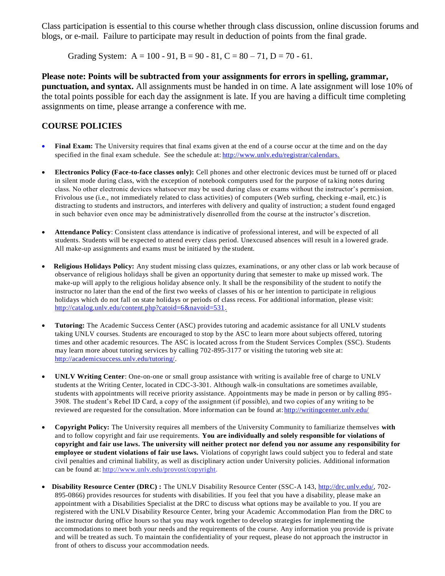Class participation is essential to this course whether through class discussion, online discussion forums and blogs, or e-mail. Failure to participate may result in deduction of points from the final grade.

Grading System:  $A = 100 - 91$ ,  $B = 90 - 81$ ,  $C = 80 - 71$ ,  $D = 70 - 61$ .

**Please note: Points will be subtracted from your assignments for errors in spelling, grammar, punctuation, and syntax.** All assignments must be handed in on time. A late assignment will lose 10% of the total points possible for each day the assignment is late. If you are having a difficult time completing assignments on time, please arrange a conference with me.

#### **COURSE POLICIES**

- **Final Exam:** The University requires that final exams given at the end of a course occur at the time and on the day specified in the final exam schedule. See the schedule at: [http://www.unlv.edu/registrar/calendars.](http://www.unlv.edu/registrar/calendars)
- **Electronics Policy (Face-to-face classes only):** Cell phones and other electronic devices must be turned off or placed in silent mode during class, with the exception of notebook computers used for the purpose of ta king notes during class. No other electronic devices whatsoever may be used during class or exams without the instructor's permission. Frivolous use (i.e., not immediately related to class activities) of computers (Web surfing, checking e -mail, etc.) is distracting to students and instructors, and interferes with delivery and quality of instruction; a student found engaged in such behavior even once may be administratively disenrolled from the course at the instructor's discretion.
- **Attendance Policy**: Consistent class attendance is indicative of professional interest, and will be expected of all students. Students will be expected to attend every class period. Unexcused absences will result in a lowered grade. All make-up assignments and exams must be initiated by the student.
- **Religious Holidays Policy:** Any student missing class quizzes, examinations, or any other class or lab work because of observance of religious holidays shall be given an opportunity during that semester to make up missed work. The make-up will apply to the religious holiday absence only. It shall be the responsibility of the student to notify the instructor no later than the end of the first two weeks of classes of his or her intention to participate in religious holidays which do not fall on state holidays or periods of class recess. For additional information, please visit: [http://catalog.unlv.edu/content.php?catoid=6&navoid=531.](http://catalog.unlv.edu/content.php?catoid=6&navoid=531)
- **Tutoring:** The Academic Success Center (ASC) provides tutoring and academic assistance for all UNLV students taking UNLV courses. Students are encouraged to stop by the ASC to learn more about subjects offered, tutoring times and other academic resources. The ASC is located across from the Student Services Complex (SSC). Students may learn more about tutoring services by calling 702-895-3177 or visiting the tutoring web site at: [http://academicsuccess.unlv.edu/tutoring/.](http://academicsuccess.unlv.edu/tutoring/)
- **UNLV Writing Center**: One-on-one or small group assistance with writing is available free of charge to UNLV students at the Writing Center, located in CDC-3-301. Although walk-in consultations are sometimes available, students with appointments will receive priority assistance. Appointments may be made in person or by calling 895- 3908. The student's Rebel ID Card, a copy of the assignment (if possible), and two copies of any writing to be reviewed are requested for the consultation. More information can be found at: http://writingcenter.unlv.edu/
- **Copyright Policy:** The University requires all members of the University Community to familiarize themselves **with**  and to follow copyright and fair use requirements. **You are individually and solely responsible for violations of copyright and fair use laws. The university will neither protect nor defend you nor assume any responsibility for employee or student violations of fair use laws.** Violations of copyright laws could subject you to federal and state civil penalties and criminal liability, as well as disciplinary action under University policies. Additional information can be found at: [http://www.unlv.edu/provost/copyright.](http://www.unlv.edu/provost/copyright)
- **Disability Resource Center (DRC) :** The UNLV Disability Resource Center (SSC-A 143, [http://drc.unlv.edu/,](http://drc.unlv.edu/) 702- 895-0866) provides resources for students with disabilities. If you feel that you have a disability, please make an appointment with a Disabilities Specialist at the DRC to discuss what options may be available to you. If you are registered with the UNLV Disability Resource Center, bring your Academic Accommodation Plan from the DRC to the instructor during office hours so that you may work together to develop strategies for implementing the accommodations to meet both your needs and the requirements of the course. Any information you provide is private and will be treated as such. To maintain the confidentiality of your request, please do not approach the instructor in front of others to discuss your accommodation needs.